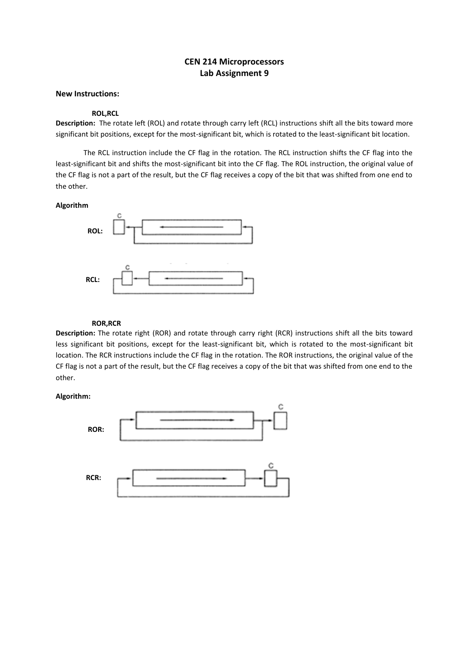# **CEN 214 Microprocessors Lab Assignment 9**

## **New Instructions:**

#### **ROL,RCL**

**Description:** The rotate left (ROL) and rotate through carry left (RCL) instructions shift all the bits toward more significant bit positions, except for the most-significant bit, which is rotated to the least-significant bit location.

The RCL instruction include the CF flag in the rotation. The RCL instruction shifts the CF flag into the least-significant bit and shifts the most-significant bit into the CF flag. The ROL instruction, the original value of the CF flag is not a part of the result, but the CF flag receives a copy of the bit that was shifted from one end to the other.

#### **Algorithm**



### **ROR,RCR**

**Description:** The rotate right (ROR) and rotate through carry right (RCR) instructions shift all the bits toward less significant bit positions, except for the least-significant bit, which is rotated to the most-significant bit location. The RCR instructions include the CF flag in the rotation. The ROR instructions, the original value of the CF flag is not a part of the result, but the CF flag receives a copy of the bit that was shifted from one end to the other.

#### **Algorithm:**